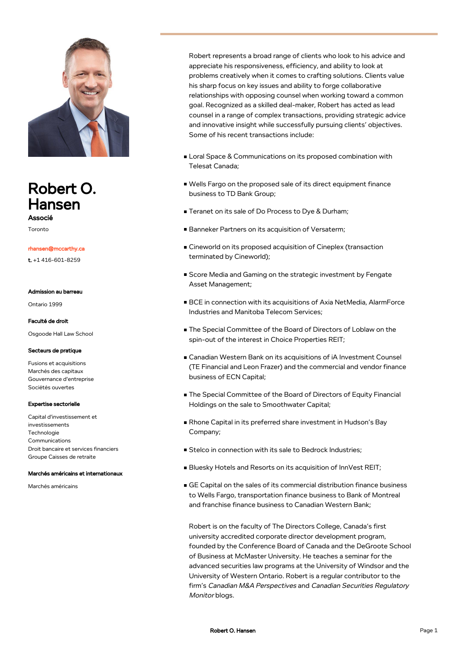

# Robert O. Hansen

Associé Toronto

#### rhansen@mccarthy.ca

t. +1 416-601-8259

#### Admission au barreau

Ontario 1999

#### Faculté de droit

Osgoode Hall Law School

#### Secteurs de pratique

Fusions et acquisitions Marchés des capitaux Gouvernance d'entreprise Sociétés ouvertes

#### Expertise sectorielle

Capital d'investissement et investissements **Technologie** Communications Droit bancaire et services financiers Groupe Caisses de retraite

#### Marchés américains et internationaux

Marchés américains

Robert represents a broad range of clients who look to his advice and appreciate his responsiveness, efficiency, and ability to look at problems creatively when it comes to crafting solutions. Clients value his sharp focus on key issues and ability to forge collaborative relationships with opposing counsel when working toward a common goal. Recognized as a skilled deal-maker, Robert has acted as lead counsel in a range of complex transactions, providing strategic advice and innovative insight while successfully pursuing clients' objectives. Some of his recent transactions include:

- Loral Space & Communications on its proposed combination with Telesat Canada;
- Wells Fargo on the proposed sale of its direct equipment finance business to TD Bank Group;
- Teranet on its sale of Do Process to Dye & Durham;
- Banneker Partners on its acquisition of Versaterm;
- Cineworld on its proposed acquisition of Cineplex (transaction terminated by Cineworld);
- Score Media and Gaming on the strategic investment by Fengate Asset Management;
- BCE in connection with its acquisitions of Axia NetMedia, AlarmForce Industries and Manitoba Telecom Services;
- The Special Committee of the Board of Directors of Loblaw on the spin-out of the interest in Choice Properties REIT;
- Canadian Western Bank on its acquisitions of iA Investment Counsel (TE Financial and Leon Frazer) and the commercial and vendor finance business of ECN Capital;
- The Special Committee of the Board of Directors of Equity Financial Holdings on the sale to Smoothwater Capital;
- Rhone Capital in its preferred share investment in Hudson's Bay Company;
- Stelco in connection with its sale to Bedrock Industries;
- Bluesky Hotels and Resorts on its acquisition of InnVest REIT;
- GE Capital on the sales of its commercial distribution finance business to Wells Fargo, transportation finance business to Bank of Montreal and franchise finance business to Canadian Western Bank;

Robert is on the faculty of The Directors College, Canada's first university accredited corporate director development program, founded by the Conference Board of Canada and the DeGroote School of Business at McMaster University. He teaches a seminar for the advanced securities law programs at the University of Windsor and the University of Western Ontario. Robert is a regular contributor to the firm's Canadian M&A Perspectives and Canadian Securities Regulatory Monitor blogs.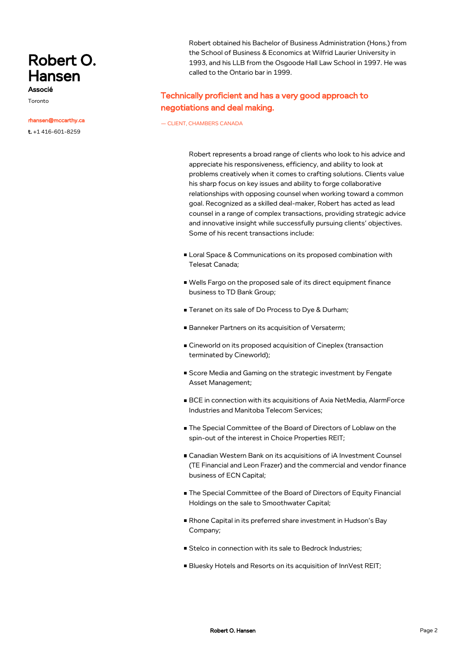# Robert O. Hansen

Associé Toronto

#### rhansen@mccarthy.ca

t. +1 416-601-8259

Robert obtained his Bachelor of Business Administration (Hons.) from the School of Business & Economics at Wilfrid Laurier University in 1993, and his LLB from the Osgoode Hall Law School in 1997. He was called to the Ontario bar in 1999.

## Technically proficient and has a very good approach to negotiations and deal making.

— CLIENT, CHAMBERS CANADA

Robert represents a broad range of clients who look to his advice and appreciate his responsiveness, efficiency, and ability to look at problems creatively when it comes to crafting solutions. Clients value his sharp focus on key issues and ability to forge collaborative relationships with opposing counsel when working toward a common goal. Recognized as a skilled deal-maker, Robert has acted as lead counsel in a range of complex transactions, providing strategic advice and innovative insight while successfully pursuing clients' objectives. Some of his recent transactions include:

- Loral Space & Communications on its proposed combination with Telesat Canada;
- Wells Fargo on the proposed sale of its direct equipment finance business to TD Bank Group;
- Teranet on its sale of Do Process to Dye & Durham;
- Banneker Partners on its acquisition of Versaterm;
- Cineworld on its proposed acquisition of Cineplex (transaction terminated by Cineworld);
- Score Media and Gaming on the strategic investment by Fengate Asset Management;
- BCE in connection with its acquisitions of Axia NetMedia, AlarmForce Industries and Manitoba Telecom Services;
- The Special Committee of the Board of Directors of Loblaw on the spin-out of the interest in Choice Properties REIT;
- Canadian Western Bank on its acquisitions of iA Investment Counsel (TE Financial and Leon Frazer) and the commercial and vendor finance business of ECN Capital;
- The Special Committee of the Board of Directors of Equity Financial Holdings on the sale to Smoothwater Capital;
- Rhone Capital in its preferred share investment in Hudson's Bay Company;
- Stelco in connection with its sale to Bedrock Industries;
- Bluesky Hotels and Resorts on its acquisition of InnVest REIT;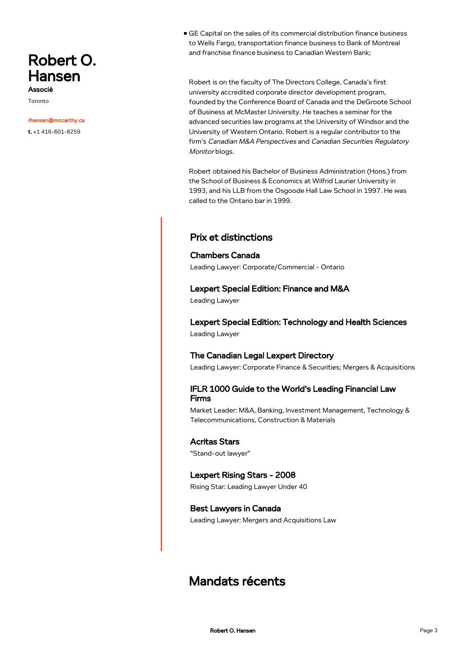# Robert O. Hansen

Associé Toronto

#### rhansen@mccarthy.ca

t. +1 416-601-8259

GE Capital on the sales of its commercial distribution finance business to Wells Fargo, transportation finance business to Bank of Montreal and franchise finance business to Canadian Western Bank;

Robert is on the faculty of The Directors College, Canada's first university accredited corporate director development program, founded by the Conference Board of Canada and the DeGroote School of Business at McMaster University. He teaches a seminar for the advanced securities law programs at the University of Windsor and the University of Western Ontario. Robert is a regular contributor to the firm's Canadian M&A Perspectives and Canadian Securities Regulatory Monitor blogs.

Robert obtained his Bachelor of Business Administration (Hons.) from the School of Business & Economics at Wilfrid Laurier University in 1993, and his LLB from the Osgoode Hall Law School in 1997. He was called to the Ontario bar in 1999.

## Prix et distinctions

### Chambers Canada

Leading Lawyer: Corporate/Commercial - Ontario

## Lexpert Special Edition: Finance and M&A

Leading Lawyer

Lexpert Special Edition: Technology and Health Sciences Leading Lawyer

## The Canadian Legal Lexpert Directory

Leading Lawyer: Corporate Finance & Securities; Mergers & Acquisitions

## IFLR 1000 Guide to the World's Leading Financial Law Firms

Market Leader: M&A, Banking, Investment Management, Technology & Telecommunications, Construction & Materials

### Acritas Stars

"Stand-out lawyer"

### Lexpert Rising Stars - 2008

Rising Star: Leading Lawyer Under 40

### Best Lawyers in Canada

Leading Lawyer: Mergers and Acquisitions Law

## Mandats récents